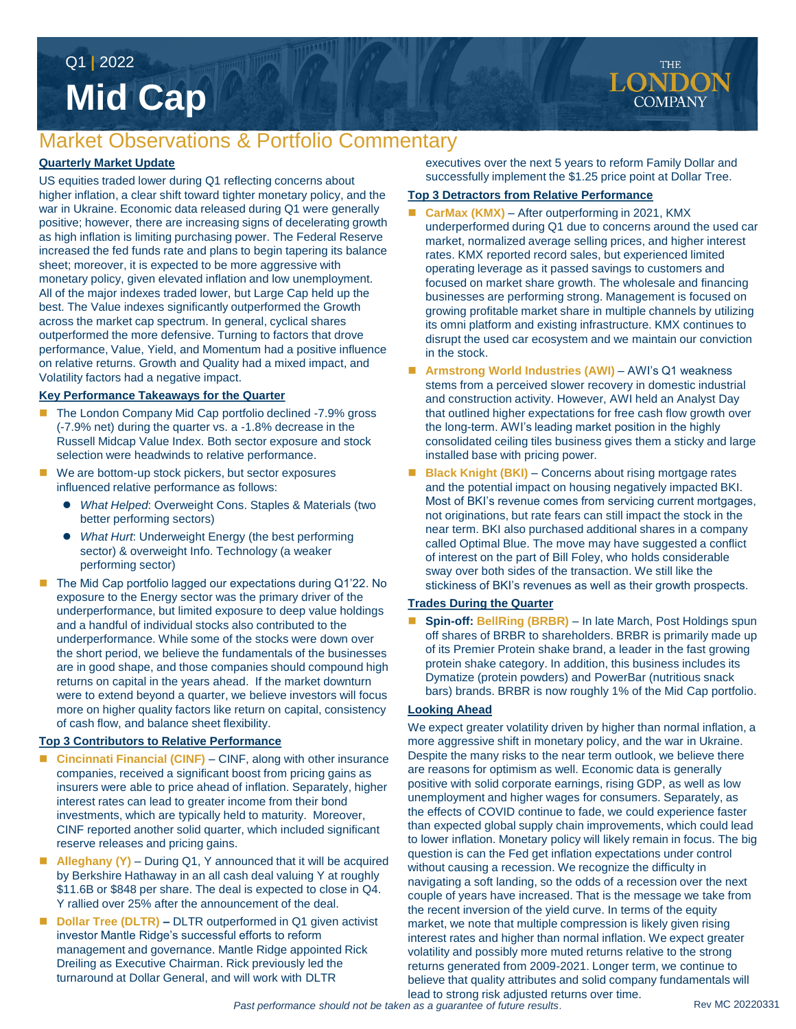# **Mid Cap** Q1 **|** 2022

# Market Observations & Portfolio Commentary

#### **Quarterly Market Update**

US equities traded lower during Q1 reflecting concerns about higher inflation, a clear shift toward tighter monetary policy, and the war in Ukraine. Economic data released during Q1 were generally positive; however, there are increasing signs of decelerating growth as high inflation is limiting purchasing power. The Federal Reserve increased the fed funds rate and plans to begin tapering its balance sheet; moreover, it is expected to be more aggressive with monetary policy, given elevated inflation and low unemployment. All of the major indexes traded lower, but Large Cap held up the best. The Value indexes significantly outperformed the Growth across the market cap spectrum. In general, cyclical shares outperformed the more defensive. Turning to factors that drove performance, Value, Yield, and Momentum had a positive influence on relative returns. Growth and Quality had a mixed impact, and Volatility factors had a negative impact.

#### **Key Performance Takeaways for the Quarter**

- The London Company Mid Cap portfolio declined -7.9% gross (-7.9% net) during the quarter vs. a -1.8% decrease in the Russell Midcap Value Index. Both sector exposure and stock selection were headwinds to relative performance.
- We are bottom-up stock pickers, but sector exposures influenced relative performance as follows:
	- *What Helped*: Overweight Cons. Staples & Materials (two better performing sectors)
	- *What Hurt*: Underweight Energy (the best performing sector) & overweight Info. Technology (a weaker performing sector)
- The Mid Cap portfolio lagged our expectations during Q1'22. No exposure to the Energy sector was the primary driver of the underperformance, but limited exposure to deep value holdings and a handful of individual stocks also contributed to the underperformance. While some of the stocks were down over the short period, we believe the fundamentals of the businesses are in good shape, and those companies should compound high returns on capital in the years ahead. If the market downturn were to extend beyond a quarter, we believe investors will focus more on higher quality factors like return on capital, consistency of cash flow, and balance sheet flexibility.

#### **Top 3 Contributors to Relative Performance**

- **Cincinnati Financial (CINF)**  CINF, along with other insurance companies, received a significant boost from pricing gains as insurers were able to price ahead of inflation. Separately, higher interest rates can lead to greater income from their bond investments, which are typically held to maturity. Moreover, CINF reported another solid quarter, which included significant reserve releases and pricing gains.
- **Alleghany (Y)**  During Q1, Y announced that it will be acquired by Berkshire Hathaway in an all cash deal valuing Y at roughly \$11.6B or \$848 per share. The deal is expected to close in Q4. Y rallied over 25% after the announcement of the deal.
- **Dollar Tree (DLTR)** DLTR outperformed in Q1 given activist investor Mantle Ridge's successful efforts to reform management and governance. Mantle Ridge appointed Rick Dreiling as Executive Chairman. Rick previously led the turnaround at Dollar General, and will work with DLTR

executives over the next 5 years to reform Family Dollar and successfully implement the \$1.25 price point at Dollar Tree.

#### **Top 3 Detractors from Relative Performance**

- **CarMax (KMX)**  After outperforming in 2021, KMX underperformed during Q1 due to concerns around the used car market, normalized average selling prices, and higher interest rates. KMX reported record sales, but experienced limited operating leverage as it passed savings to customers and focused on market share growth. The wholesale and financing businesses are performing strong. Management is focused on growing profitable market share in multiple channels by utilizing its omni platform and existing infrastructure. KMX continues to disrupt the used car ecosystem and we maintain our conviction in the stock.
- **Armstrong World Industries (AWI)**  AWI's Q1 weakness stems from a perceived slower recovery in domestic industrial and construction activity. However, AWI held an Analyst Day that outlined higher expectations for free cash flow growth over the long-term. AWI's leading market position in the highly consolidated ceiling tiles business gives them a sticky and large installed base with pricing power.
- **Black Knight (BKI)** Concerns about rising mortgage rates and the potential impact on housing negatively impacted BKI. Most of BKI's revenue comes from servicing current mortgages, not originations, but rate fears can still impact the stock in the near term. BKI also purchased additional shares in a company called Optimal Blue. The move may have suggested a conflict of interest on the part of Bill Foley, who holds considerable sway over both sides of the transaction. We still like the stickiness of BKI's revenues as well as their growth prospects.

#### **Trades During the Quarter**

**Spin-off: BellRing (BRBR)** – In late March, Post Holdings spun off shares of BRBR to shareholders. BRBR is primarily made up of its Premier Protein shake brand, a leader in the fast growing protein shake category. In addition, this business includes its Dymatize (protein powders) and PowerBar (nutritious snack bars) brands. BRBR is now roughly 1% of the Mid Cap portfolio.

#### **Looking Ahead**

We expect greater volatility driven by higher than normal inflation, a more aggressive shift in monetary policy, and the war in Ukraine. Despite the many risks to the near term outlook, we believe there are reasons for optimism as well. Economic data is generally positive with solid corporate earnings, rising GDP, as well as low unemployment and higher wages for consumers. Separately, as the effects of COVID continue to fade, we could experience faster than expected global supply chain improvements, which could lead to lower inflation. Monetary policy will likely remain in focus. The big question is can the Fed get inflation expectations under control without causing a recession. We recognize the difficulty in navigating a soft landing, so the odds of a recession over the next couple of years have increased. That is the message we take from the recent inversion of the yield curve. In terms of the equity market, we note that multiple compression is likely given rising interest rates and higher than normal inflation. We expect greater volatility and possibly more muted returns relative to the strong returns generated from 2009-2021. Longer term, we continue to believe that quality attributes and solid company fundamentals will lead to strong risk adjusted returns over time.